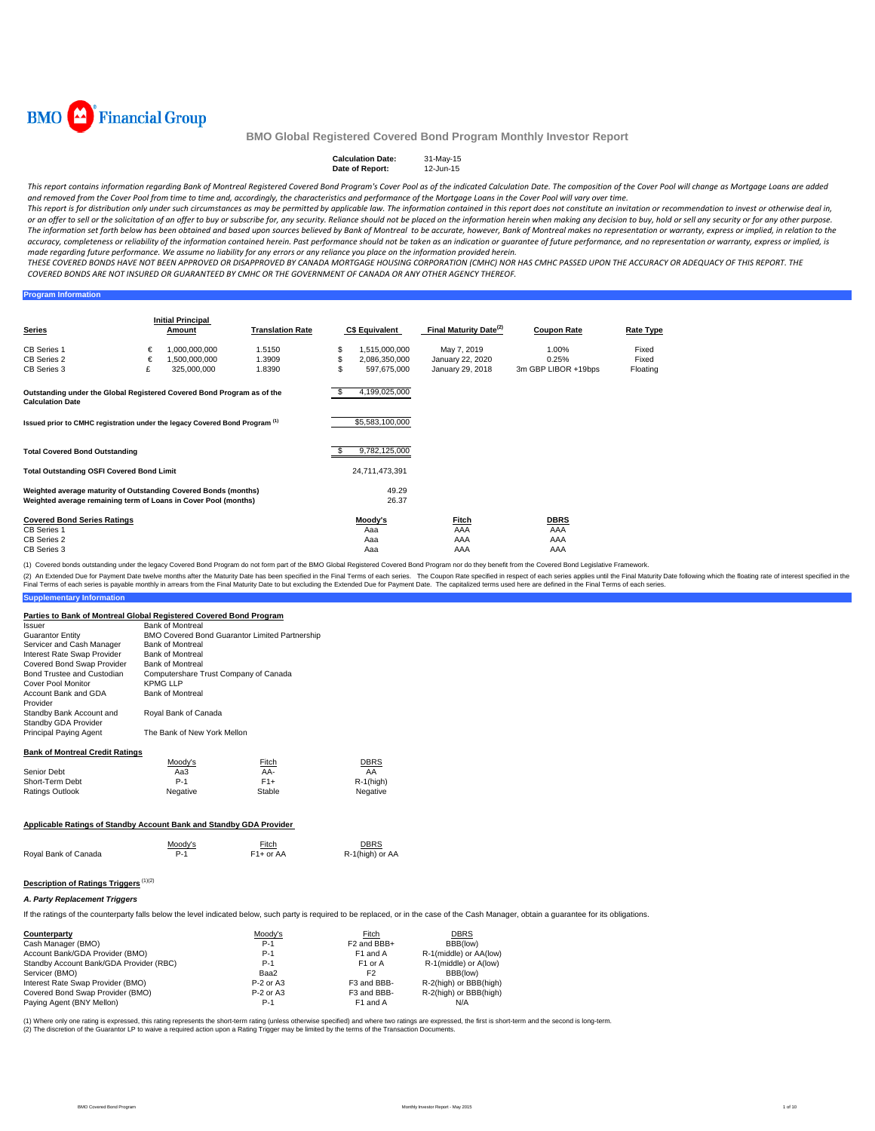

#### **Calculation Date:** 31-May-15 **Date of Report:**

This report contains information regarding Bank of Montreal Registered Covered Bond Program's Cover Pool as of the indicated Calculation Date. The composition of the Cover Pool will change as Mortgage Loans are added and removed from the Cover Pool from time to time and, accordingly, the characteristics and performance of the Mortgage Loans in the Cover Pool will vary over time.

This report is for distribution only under such circumstances as may be permitted by applicable law. The information contained in this report does not constitute an invitation or recommendation to invest or otherwise deal or an offer to sell or the solicitation of an offer to buy or subscribe for, any security. Reliance should not be placed on the information herein when making any decision to buy, hold or sell any security or for any other The information set forth below has been obtained and based upon sources believed by Bank of Montreal to be accurate, however, Bank of Montreal makes no representation or warranty, express or implied, in relation to the accuracy, completeness or reliability of the information contained herein. Past performance should not be taken as an indication or guarantee of future performance, and no representation or warranty, express or implied, is made regarding future performance. We assume no liability for any errors or any reliance you place on the information provided herein.

THESE COVERED BONDS HAVE NOT BEEN APPROVED OR DISAPPROVED BY CANADA MORTGAGE HOUSING CORPORATION (CMHC) NOR HAS CMHC PASSED UPON THE ACCURACY OR ADEQUACY OF THIS REPORT. THE COVERED BONDS ARE NOT INSURED OR GUARANTEED BY CMHC OR THE GOVERNMENT OF CANADA OR ANY OTHER AGENCY THEREOF.

## **Program Information**

| Series                                                                                                                             | <b>Initial Principal</b><br><b>Translation Rate</b><br><b>Amount</b> |                                | <b>C\$ Equivalent</b> |   | Final Maturity Date <sup>(2)</sup> | <b>Coupon Rate</b>              | Rate Type           |                |
|------------------------------------------------------------------------------------------------------------------------------------|----------------------------------------------------------------------|--------------------------------|-----------------------|---|------------------------------------|---------------------------------|---------------------|----------------|
| <b>CB Series 1</b><br>CB Series 2                                                                                                  | €<br>€                                                               | 1,000,000,000<br>1,500,000,000 | 1.5150<br>1.3909      |   | 1,515,000,000<br>2,086,350,000     | May 7, 2019<br>January 22, 2020 | 1.00%<br>0.25%      | Fixed<br>Fixed |
| CB Series 3                                                                                                                        | £                                                                    | 325,000,000                    | 1.8390                | S | 597,675,000                        | January 29, 2018                | 3m GBP LIBOR +19bps | Floating       |
| Outstanding under the Global Registered Covered Bond Program as of the<br><b>Calculation Date</b>                                  |                                                                      |                                |                       |   | 4,199,025,000                      |                                 |                     |                |
| Issued prior to CMHC registration under the legacy Covered Bond Program <sup>(1)</sup>                                             |                                                                      |                                |                       |   | \$5,583,100,000                    |                                 |                     |                |
| <b>Total Covered Bond Outstanding</b>                                                                                              |                                                                      |                                |                       |   | 9,782,125,000                      |                                 |                     |                |
| <b>Total Outstanding OSFI Covered Bond Limit</b>                                                                                   |                                                                      |                                |                       |   | 24,711,473,391                     |                                 |                     |                |
| Weighted average maturity of Outstanding Covered Bonds (months)<br>Weighted average remaining term of Loans in Cover Pool (months) |                                                                      |                                |                       |   | 49.29<br>26.37                     |                                 |                     |                |
| <b>Covered Bond Series Ratings</b>                                                                                                 |                                                                      |                                |                       |   | Moody's                            | Fitch                           | <b>DBRS</b>         |                |
| CB Series 1<br>CB Series 2                                                                                                         |                                                                      |                                |                       |   | Aaa<br>Aaa                         | AAA<br>AAA                      | AAA<br>AAA          |                |
| CB Series 3                                                                                                                        |                                                                      |                                |                       |   | Aaa                                | AAA                             | AAA                 |                |

(1) Covered bonds outstanding under the legacy Covered Bond Program do not form part of the BMO Global Registered Covered Bond Program nor do they benefit from the Covered Bond Legislative Framework.

(2) An Extended Due for Payment Date welve months after the Maturity Date has been specified in the Final Terms of each series. The Coupon Rate specified in the enduction the shate holders are adding to each series. The ca

#### **Supplementary Information**

#### **Parties to Bank of Montreal Global Registered Covered Bond Program**

| Issuer                                           | <b>Bank of Montreal</b>               |                                                |              |
|--------------------------------------------------|---------------------------------------|------------------------------------------------|--------------|
| <b>Guarantor Entity</b>                          |                                       | BMO Covered Bond Guarantor Limited Partnership |              |
| Servicer and Cash Manager                        | <b>Bank of Montreal</b>               |                                                |              |
| Interest Rate Swap Provider                      | <b>Bank of Montreal</b>               |                                                |              |
| Covered Bond Swap Provider                       | <b>Bank of Montreal</b>               |                                                |              |
| Bond Trustee and Custodian                       | Computershare Trust Company of Canada |                                                |              |
| <b>Cover Pool Monitor</b>                        | <b>KPMG LLP</b>                       |                                                |              |
| Account Bank and GDA<br>Provider                 | <b>Bank of Montreal</b>               |                                                |              |
| Standby Bank Account and<br>Standby GDA Provider | Royal Bank of Canada                  |                                                |              |
| Principal Paying Agent                           | The Bank of New York Mellon           |                                                |              |
| <b>Bank of Montreal Credit Ratings</b>           |                                       |                                                |              |
|                                                  | Moody's                               | <b>Fitch</b>                                   | DBRS         |
| Senior Debt                                      | Aa3                                   | AA-                                            | AA           |
| Short-Term Debt                                  | $P-1$                                 | $F1+$                                          | $R-1$ (high) |
| Ratings Outlook                                  | Negative                              | Stable                                         | Negative     |
|                                                  |                                       |                                                |              |
|                                                  |                                       |                                                |              |

## **Applicable Ratings of Standby Account Bank and Standby GDA Provider**

|                      | Moody's | Fitch                  | <b>DBRS</b>     |
|----------------------|---------|------------------------|-----------------|
| Royal Bank of Canada | P-1     | F <sub>1</sub> + or AA | R-1(high) or AA |

## **Description of Ratings Triggers** (1)(2)

#### *A. Party Replacement Triggers*

If the ratings of the counterparty falls below the level indicated below, such party is required to be replaced, or in the case of the Cash Manager, obtain a guarantee for its obligations.

| Counterparty                            | Moody's     | Fitch                   | <b>DBRS</b>            |
|-----------------------------------------|-------------|-------------------------|------------------------|
| Cash Manager (BMO)                      | $P-1$       | F <sub>2</sub> and BBB+ | BBB(low)               |
| Account Bank/GDA Provider (BMO)         | $P-1$       | F <sub>1</sub> and A    | R-1(middle) or AA(low) |
| Standby Account Bank/GDA Provider (RBC) | $P-1$       | F <sub>1</sub> or A     | R-1(middle) or A(low)  |
| Servicer (BMO)                          | Baa2        | F <sub>2</sub>          | BBB(low)               |
| Interest Rate Swap Provider (BMO)       | $P-2$ or A3 | F3 and BBB-             | R-2(high) or BBB(high) |
| Covered Bond Swap Provider (BMO)        | $P-2$ or A3 | F3 and BBB-             | R-2(high) or BBB(high) |
| Paying Agent (BNY Mellon)               | $P-1$       | F <sub>1</sub> and A    | N/A                    |

(1) Where only one rating is expressed, this rating represents the short-term rating (unless otherwise specified) and where two ratings are expressed, the first is short-term and the second is long-term.<br>(2) The discretion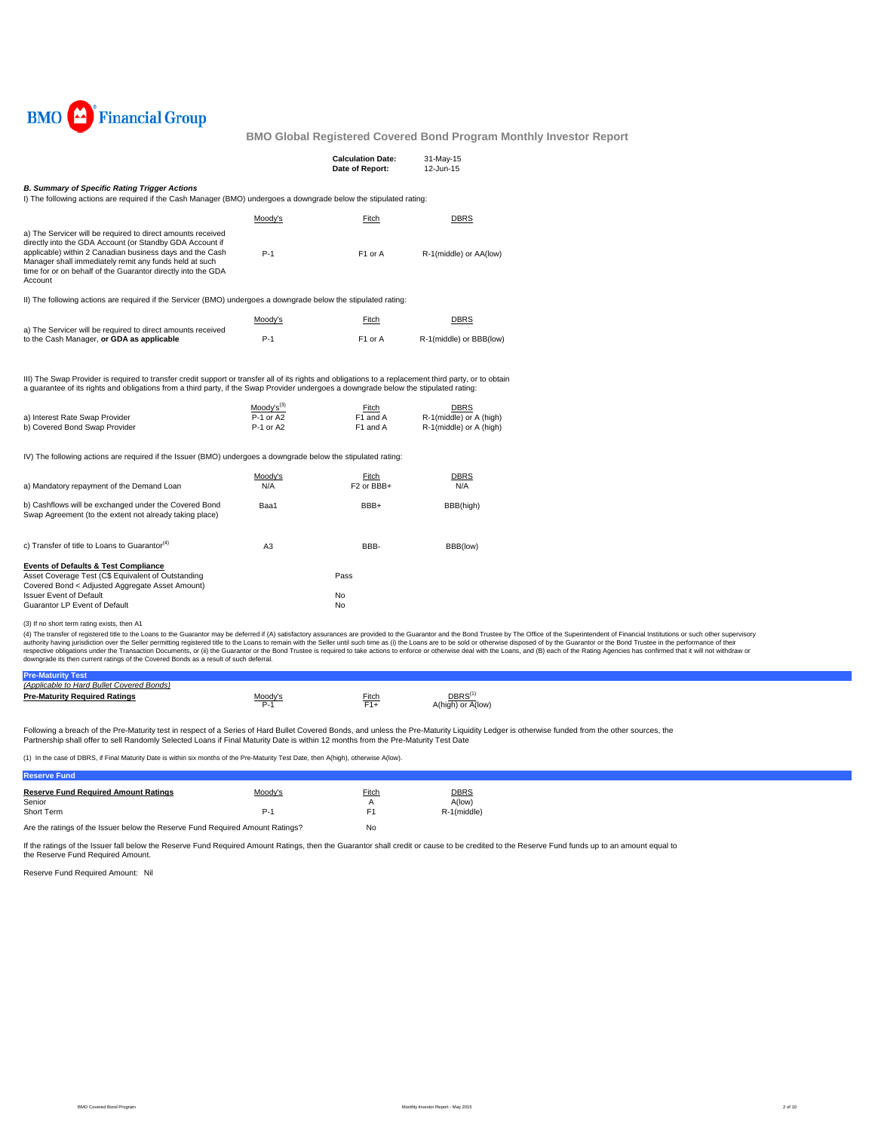

|                                                                                                                                                                                                                                                                                                                          |                                            | <b>Calculation Date:</b><br>Date of Report: | 31-May-15<br>12-Jun-15                                            |  |
|--------------------------------------------------------------------------------------------------------------------------------------------------------------------------------------------------------------------------------------------------------------------------------------------------------------------------|--------------------------------------------|---------------------------------------------|-------------------------------------------------------------------|--|
| <b>B. Summary of Specific Rating Trigger Actions</b><br>I) The following actions are required if the Cash Manager (BMO) undergoes a downgrade below the stipulated rating:                                                                                                                                               |                                            |                                             |                                                                   |  |
|                                                                                                                                                                                                                                                                                                                          | Moody's                                    | Fitch                                       | <b>DBRS</b>                                                       |  |
| a) The Servicer will be required to direct amounts received<br>directly into the GDA Account (or Standby GDA Account if<br>applicable) within 2 Canadian business days and the Cash<br>Manager shall immediately remit any funds held at such<br>time for or on behalf of the Guarantor directly into the GDA<br>Account | $P-1$                                      | F1 or A                                     | R-1(middle) or AA(low)                                            |  |
| II) The following actions are required if the Servicer (BMO) undergoes a downgrade below the stipulated rating:                                                                                                                                                                                                          |                                            |                                             |                                                                   |  |
|                                                                                                                                                                                                                                                                                                                          | Moody's                                    | Fitch                                       | <b>DBRS</b>                                                       |  |
| a) The Servicer will be required to direct amounts received<br>to the Cash Manager, or GDA as applicable                                                                                                                                                                                                                 | $P-1$                                      | F1 or A                                     | R-1(middle) or BBB(low)                                           |  |
| III) The Swap Provider is required to transfer credit support or transfer all of its rights and obligations to a replacement third party, or to obtain<br>a guarantee of its rights and obligations from a third party, if the Swap Provider undergoes a downgrade below the stipulated rating:                          |                                            |                                             |                                                                   |  |
| a) Interest Rate Swap Provider<br>b) Covered Bond Swap Provider                                                                                                                                                                                                                                                          | $Mody's^{(3)}$<br>$P-1$ or A2<br>P-1 or A2 | Fitch<br>F1 and A<br>F1 and A               | <b>DBRS</b><br>R-1(middle) or A (high)<br>R-1(middle) or A (high) |  |
| IV) The following actions are required if the Issuer (BMO) undergoes a downgrade below the stipulated rating:                                                                                                                                                                                                            |                                            |                                             |                                                                   |  |
| a) Mandatory repayment of the Demand Loan                                                                                                                                                                                                                                                                                | Moody's<br>N/A                             | Fitch<br>F <sub>2</sub> or BBB+             | <b>DBRS</b><br>N/A                                                |  |
| b) Cashflows will be exchanged under the Covered Bond<br>Swap Agreement (to the extent not already taking place)                                                                                                                                                                                                         | Baa1                                       | BBB+                                        | BBB(high)                                                         |  |
| c) Transfer of title to Loans to Guarantor <sup>(4)</sup>                                                                                                                                                                                                                                                                | A <sub>3</sub>                             | BBB-                                        | BBB(low)                                                          |  |
| <b>Events of Defaults &amp; Test Compliance</b><br>Asset Coverage Test (C\$ Equivalent of Outstanding<br>Covered Bond < Adjusted Aggregate Asset Amount)                                                                                                                                                                 |                                            | Pass                                        |                                                                   |  |
| <b>Issuer Event of Default</b><br>Guarantor LP Event of Default                                                                                                                                                                                                                                                          |                                            | No<br>No                                    |                                                                   |  |
| (3) If no short term rating exists, then A1<br>(4) The transfer of registered title to the Leons to the Guaranter may be deferred if (A) satisfactory assurances are provided to the Guaranter and the Read Trustee by The Office of the Superin                                                                         |                                            |                                             |                                                                   |  |

(3) If no short term rating exists, then A1<br>(4) The transfer of registered title to the Loans to the Guarantor may be deferred if (A) satisfactory assurances are provided to the Guarantor and the Bond Trustee by The Office

| <b>Pre-Maturity Test</b>                  |                     |                            |                   |
|-------------------------------------------|---------------------|----------------------------|-------------------|
| (Applicable to Hard Bullet Covered Bonds) |                     |                            |                   |
| <b>Pre-Maturity Required Ratings</b>      | Moody' <sup>*</sup> | <b>Fitch</b><br>$\Xi_{1+}$ | A(high) or A(low) |

Following a breach of the Pre-Maturity test in respect of a Series of Hard Bullet Covered Bonds, and unless the Pre-Maturity Liquidity Ledger is otherwise funded from the other sources, the<br>Partnership shall offer to sell

(1) In the case of DBRS, if Final Maturity Date is within six months of the Pre-Maturity Test Date, then A(high), otherwise A(low).

| <b>Reserve Fund</b>                                                           |         |                |             |
|-------------------------------------------------------------------------------|---------|----------------|-------------|
| <b>Reserve Fund Required Amount Ratings</b>                                   | Moody's | <u>Fitch</u>   | <b>DBRS</b> |
| Senior                                                                        |         |                | A(low)      |
| Short Term                                                                    | P-1     | F <sub>1</sub> | R-1(middle) |
| Are the ratings of the Issuer below the Reserve Fund Required Amount Ratings? |         | No             |             |

If the ratings of the Issuer fall below the Reserve Fund Required Amount Ratings, then the Guarantor shall credit or cause to be credited to the Reserve Fund funds up to an amount equal to

Reserve Fund Required Amount: Nil the Reserve Fund Required Amount.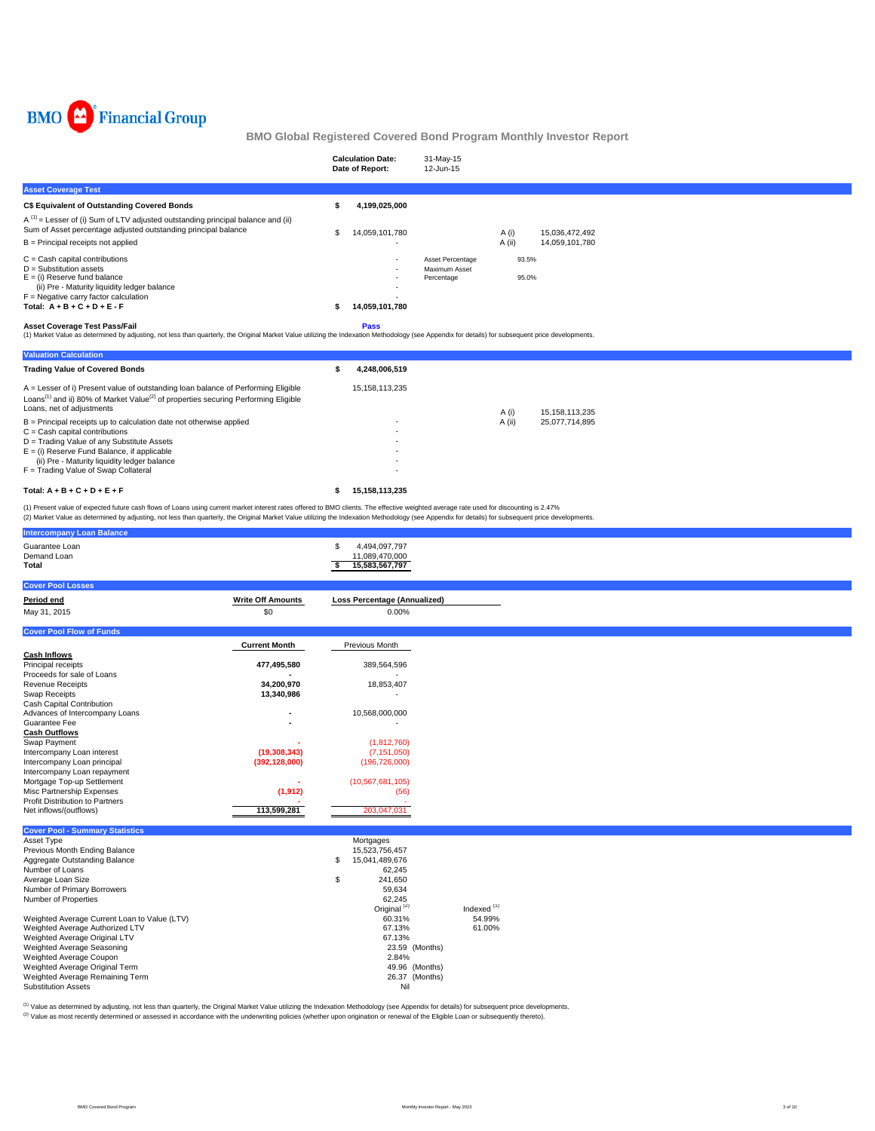

|                                                                                                                                                                                                                                            | <b>Calculation Date:</b><br>Date of Report: | 31-May-15<br>12-Jun-15      |        |                |  |
|--------------------------------------------------------------------------------------------------------------------------------------------------------------------------------------------------------------------------------------------|---------------------------------------------|-----------------------------|--------|----------------|--|
| <b>Asset Coverage Test</b>                                                                                                                                                                                                                 |                                             |                             |        |                |  |
| C\$ Equivalent of Outstanding Covered Bonds                                                                                                                                                                                                | 4,199,025,000                               |                             |        |                |  |
| $A^{(1)}$ = Lesser of (i) Sum of LTV adjusted outstanding principal balance and (ii)<br>Sum of Asset percentage adjusted outstanding principal balance                                                                                     | 14.059.101.780                              |                             | A (i)  | 15,036,472,492 |  |
| $B =$ Principal receipts not applied                                                                                                                                                                                                       |                                             |                             | A (ii) | 14,059,101,780 |  |
| $C =$ Cash capital contributions                                                                                                                                                                                                           | <b>.</b>                                    | Asset Percentage            | 93.5%  |                |  |
| $D =$ Substitution assets<br>$E =$ (i) Reserve fund balance<br>(ii) Pre - Maturity liquidity ledger balance                                                                                                                                | $\overline{\phantom{a}}$                    | Maximum Asset<br>Percentage | 95.0%  |                |  |
| $F =$ Negative carry factor calculation                                                                                                                                                                                                    |                                             |                             |        |                |  |
| Total: $A + B + C + D + E - F$                                                                                                                                                                                                             | 14,059,101,780                              |                             |        |                |  |
| <b>Asset Coverage Test Pass/Fail</b><br>(1) Market Value as determined by adjusting, not less than quarterly, the Original Market Value utilizing the Indexation Methodology (see Appendix for details) for subsequent price developments. | <b>Pass</b>                                 |                             |        |                |  |

| <b>Valuation Calculation</b>                                                                                                                                                                                                 |   |                          |        |                |
|------------------------------------------------------------------------------------------------------------------------------------------------------------------------------------------------------------------------------|---|--------------------------|--------|----------------|
| <b>Trading Value of Covered Bonds</b>                                                                                                                                                                                        | s | 4.248.006.519            |        |                |
| A = Lesser of i) Present value of outstanding loan balance of Performing Eligible<br>Loans <sup>(1)</sup> and ii) 80% of Market Value <sup>(2)</sup> of properties securing Performing Eligible<br>Loans, net of adiustments |   | 15.158.113.235           | A (i)  | 15.158.113.235 |
| $B =$ Principal receipts up to calculation date not otherwise applied                                                                                                                                                        |   |                          | A (ii) | 25.077.714.895 |
| $C =$ Cash capital contributions                                                                                                                                                                                             |   | $\overline{\phantom{a}}$ |        |                |
| D = Trading Value of any Substitute Assets                                                                                                                                                                                   |   |                          |        |                |
| $E =$ (i) Reserve Fund Balance, if applicable                                                                                                                                                                                |   | ٠                        |        |                |
| (ii) Pre - Maturity liquidity ledger balance                                                                                                                                                                                 |   | ٠                        |        |                |
| F = Trading Value of Swap Collateral                                                                                                                                                                                         |   |                          |        |                |
| Total: $A + B + C + D + E + F$                                                                                                                                                                                               |   | 15.158.113.235           |        |                |

(1) Present value of expected future cash flows of Loans using current market interest rates offered to BMO clients. The effective weighted average rate used for discounting is 2.47%<br>(2) Market Value as determined by adjus

| <b>Intercompany Loan Balance</b>                 |                          |                                        |                        |
|--------------------------------------------------|--------------------------|----------------------------------------|------------------------|
| Guarantee Loan                                   |                          | \$<br>4,494,097,797                    |                        |
| Demand Loan                                      |                          | 11,089,470,000                         |                        |
| Total                                            |                          | \$<br>15,583,567,797                   |                        |
|                                                  |                          |                                        |                        |
| <b>Cover Pool Losses</b>                         |                          |                                        |                        |
| Period end                                       | <b>Write Off Amounts</b> | Loss Percentage (Annualized)           |                        |
| May 31, 2015                                     | \$0                      | 0.00%                                  |                        |
|                                                  |                          |                                        |                        |
| <b>Cover Pool Flow of Funds</b>                  |                          |                                        |                        |
|                                                  | <b>Current Month</b>     | Previous Month                         |                        |
| <b>Cash Inflows</b>                              |                          |                                        |                        |
| Principal receipts                               | 477,495,580              | 389,564,596                            |                        |
| Proceeds for sale of Loans                       |                          |                                        |                        |
| <b>Revenue Receipts</b>                          | 34,200,970               | 18,853,407                             |                        |
| Swap Receipts                                    | 13,340,986               |                                        |                        |
| Cash Capital Contribution                        |                          |                                        |                        |
| Advances of Intercompany Loans<br>Guarantee Fee  |                          | 10,568,000,000<br>×.                   |                        |
| <b>Cash Outflows</b>                             |                          |                                        |                        |
| Swap Payment                                     |                          | (1,812,760)                            |                        |
| Intercompany Loan interest                       | (19, 308, 343)           | (7, 151, 050)                          |                        |
| Intercompany Loan principal                      | (392, 128, 000)          | (196, 726, 000)                        |                        |
| Intercompany Loan repayment                      |                          |                                        |                        |
| Mortgage Top-up Settlement                       |                          | (10, 567, 681, 105)                    |                        |
| Misc Partnership Expenses                        | (1, 912)                 | (56)                                   |                        |
| Profit Distribution to Partners                  |                          | ٠.                                     |                        |
| Net inflows/(outflows)                           | 113,599,281              | 203.047.031                            |                        |
|                                                  |                          |                                        |                        |
| <b>Cover Pool - Summary Statistics</b>           |                          |                                        |                        |
| Asset Type                                       |                          | Mortgages                              |                        |
| Previous Month Ending Balance                    |                          | 15,523,756,457<br>\$<br>15,041,489,676 |                        |
| Aggregate Outstanding Balance<br>Number of Loans |                          | 62,245                                 |                        |
| Average Loan Size                                |                          | \$<br>241,650                          |                        |
| Number of Primary Borrowers                      |                          | 59.634                                 |                        |
| Number of Properties                             |                          | 62.245                                 |                        |
|                                                  |                          | Original <sup>(2)</sup>                | Indexed <sup>(1)</sup> |
| Weighted Average Current Loan to Value (LTV)     |                          | 60.31%                                 | 54.99%                 |
| Weighted Average Authorized LTV                  |                          | 67.13%                                 | 61.00%                 |
| Weighted Average Original LTV                    |                          | 67.13%                                 |                        |
| Weighted Average Seasoning                       |                          |                                        | 23.59 (Months)         |
| Weighted Average Coupon                          |                          | 2.84%                                  |                        |
| Weighted Average Original Term                   |                          |                                        | 49.96 (Months)         |
| Weighted Average Remaining Term                  |                          |                                        | 26.37 (Months)         |
| <b>Substitution Assets</b>                       |                          | Nil                                    |                        |

<sup>(1)</sup> Value as determined by adjusting, not less than quarterly, the Original Market Value utilizing the Indexation Methodology (see Appendix for details) for subsequent price developments.<br><sup>(2)</sup> Value as most recently det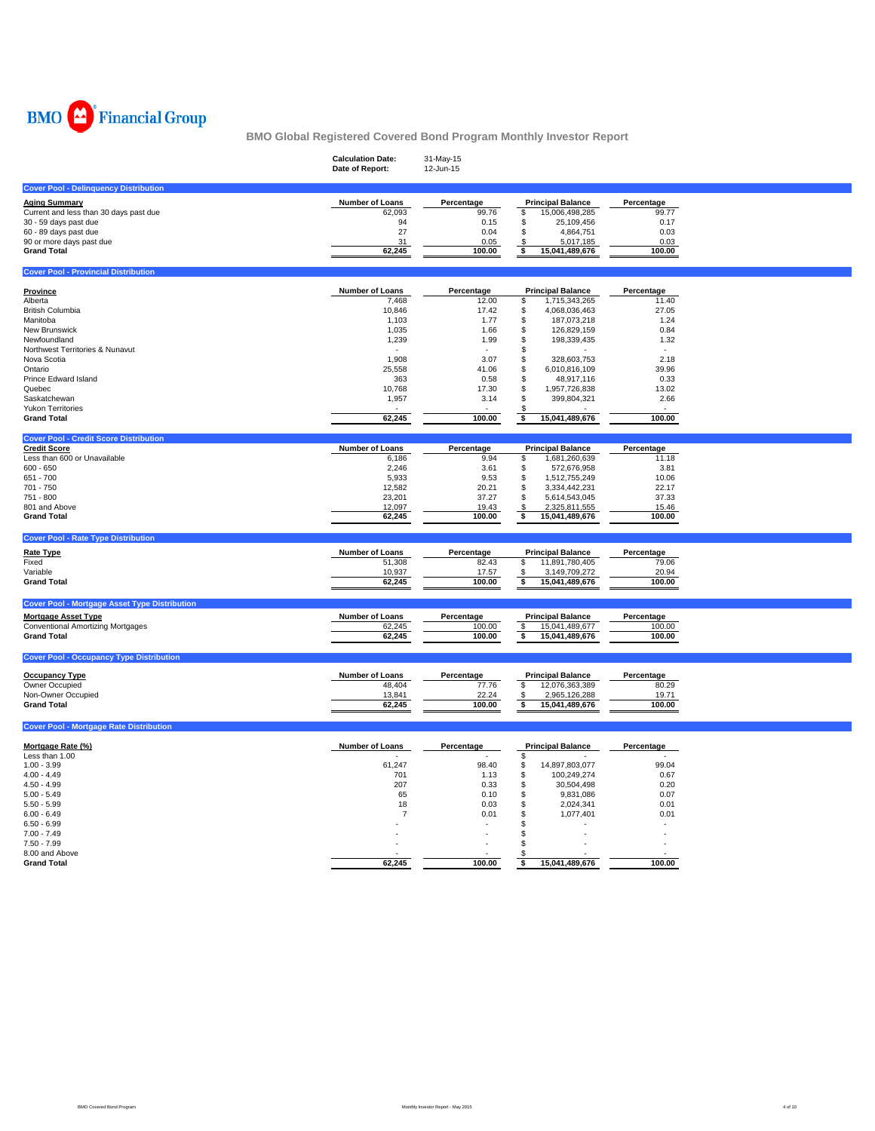

|                                                                                                                                       | <b>Calculation Date:</b><br>Date of Report: | 31-May-15<br>12-Jun-15 |                                             |                |  |
|---------------------------------------------------------------------------------------------------------------------------------------|---------------------------------------------|------------------------|---------------------------------------------|----------------|--|
| <b>Cover Pool - Delinquency Distribution</b>                                                                                          |                                             |                        |                                             |                |  |
| <b>Aging Summary</b>                                                                                                                  | <b>Number of Loans</b>                      | Percentage             | <b>Principal Balance</b>                    | Percentage     |  |
| Current and less than 30 days past due                                                                                                | 62,093                                      | 99.76                  | 15,006,498,285<br>\$                        | 99.77          |  |
| 30 - 59 days past due                                                                                                                 | 94                                          | 0.15                   | \$<br>25,109,456                            | 0.17           |  |
| 60 - 89 days past due                                                                                                                 | 27                                          | 0.04                   | \$<br>4,864,751                             | 0.03           |  |
| 90 or more days past due                                                                                                              | 31                                          | 0.05                   | 5,017,185<br>\$                             | 0.03           |  |
| <b>Grand Total</b>                                                                                                                    | 62,245                                      | 100.00                 | 15,041,489,676<br>\$                        | 100.00         |  |
| <b>Cover Pool - Provincial Distribution</b>                                                                                           |                                             |                        |                                             |                |  |
|                                                                                                                                       |                                             |                        |                                             |                |  |
| Province                                                                                                                              | <b>Number of Loans</b>                      | Percentage             | <b>Principal Balance</b>                    | Percentage     |  |
| Alberta                                                                                                                               | 7,468                                       | 12.00                  | 1,715,343,265<br>S                          | 11.40          |  |
| <b>British Columbia</b>                                                                                                               | 10,846                                      | 17.42                  | \$<br>4,068,036,463                         | 27.05          |  |
| Manitoba<br>New Brunswick                                                                                                             | 1,103<br>1,035                              | 1.77<br>1.66           | \$<br>187,073,218<br>\$<br>126,829,159      | 1.24<br>0.84   |  |
| Newfoundland                                                                                                                          | 1,239                                       | 1.99                   | \$<br>198,339,435                           | 1.32           |  |
| Northwest Territories & Nunavut                                                                                                       |                                             |                        | \$                                          |                |  |
| Nova Scotia                                                                                                                           | 1,908                                       | 3.07                   | \$<br>328,603,753                           | 2.18           |  |
| Ontario                                                                                                                               | 25,558                                      | 41.06                  | \$<br>6,010,816,109                         | 39.96          |  |
| Prince Edward Island                                                                                                                  | 363                                         | 0.58                   | \$<br>48,917,116                            | 0.33           |  |
| Quebec                                                                                                                                | 10,768                                      | 17.30                  | \$<br>1,957,726,838                         | 13.02          |  |
| Saskatchewan                                                                                                                          | 1,957                                       | 3.14                   | \$<br>399,804,321                           | 2.66           |  |
| <b>Yukon Territories</b>                                                                                                              |                                             |                        |                                             |                |  |
| <b>Grand Total</b>                                                                                                                    | 62,245                                      | 100.00                 | 15,041,489,676<br>\$                        | 100.00         |  |
| <b>Cover Pool - Credit Score Distribution</b>                                                                                         |                                             |                        |                                             |                |  |
| <b>Credit Score</b>                                                                                                                   | Number of Loans                             | Percentage             | <b>Principal Balance</b>                    | Percentage     |  |
| Less than 600 or Unavailable                                                                                                          | 6,186                                       | 9.94                   | 1,681,260,639<br>\$                         | 11.18          |  |
| $600 - 650$                                                                                                                           | 2,246                                       | 3.61                   | \$<br>572,676,958                           | 3.81           |  |
| 651 - 700                                                                                                                             | 5,933                                       | 9.53                   | 1,512,755,249<br>\$                         | 10.06          |  |
| 701 - 750                                                                                                                             | 12,582                                      | 20.21                  | \$<br>3,334,442,231                         | 22.17          |  |
| 751 - 800                                                                                                                             | 23,201                                      | 37.27                  | \$<br>5,614,543,045                         | 37.33          |  |
| 801 and Above                                                                                                                         | 12,097                                      | 19.43                  | 2,325,811,555<br>S                          | 15.46          |  |
| <b>Grand Total</b>                                                                                                                    | 62,245                                      | 100.00                 | \$<br>15,041,489,676                        | 100.00         |  |
|                                                                                                                                       |                                             |                        |                                             |                |  |
| <b>Cover Pool - Rate Type Distribution</b>                                                                                            |                                             |                        |                                             |                |  |
|                                                                                                                                       |                                             |                        |                                             |                |  |
|                                                                                                                                       | <b>Number of Loans</b>                      | Percentage             | <b>Principal Balance</b>                    | Percentage     |  |
|                                                                                                                                       | 51,308                                      | 82.43<br>17.57         | 11,891,780,405<br>\$<br>\$                  | 79.06<br>20.94 |  |
| <b>Rate Type</b><br>Fixed<br>Variable<br><b>Grand Total</b>                                                                           | 10,937<br>62,245                            | 100.00                 | 3,149,709,272<br>\$<br>15,041,489,676       | 100.00         |  |
|                                                                                                                                       |                                             |                        |                                             |                |  |
| <b>Cover Pool - Mortgage Asset Type Distribution</b>                                                                                  |                                             |                        |                                             |                |  |
| <b>Mortgage Asset Type</b>                                                                                                            | <b>Number of Loans</b>                      | Percentage             | <b>Principal Balance</b>                    | Percentage     |  |
|                                                                                                                                       | 62,245                                      | 100.00                 | \$<br>15,041,489,677                        | 100.00         |  |
| <b>Conventional Amortizing Mortgages</b><br><b>Grand Total</b>                                                                        | 62,245                                      | 100.00                 | 15,041,489,676<br>\$                        | 100.00         |  |
|                                                                                                                                       |                                             |                        |                                             |                |  |
| <b>Cover Pool - Occupancy Type Distribution</b><br><b>Occupancy Type</b>                                                              | <b>Number of Loans</b>                      | Percentage             | <b>Principal Balance</b>                    | Percentage     |  |
|                                                                                                                                       |                                             |                        |                                             |                |  |
| Owner Occupied<br>Non-Owner Occupied                                                                                                  | 48,404<br>13,841                            | 77.76<br>22.24         | \$<br>12,076,363,389<br>\$<br>2,965,126,288 | 80.29<br>19.71 |  |
| <b>Grand Total</b>                                                                                                                    | 62,245                                      | 100.00                 | \$<br>15,041,489,676                        | 100.00         |  |
|                                                                                                                                       |                                             |                        |                                             |                |  |
|                                                                                                                                       |                                             |                        |                                             |                |  |
| <b>Cover Pool - Mortgage Rate Distribution</b><br>Mortgage Rate (%)                                                                   | <b>Number of Loans</b>                      | Percentage             | <b>Principal Balance</b>                    | Percentage     |  |
|                                                                                                                                       |                                             |                        | \$                                          |                |  |
|                                                                                                                                       | 61,247                                      | 98.40                  | \$<br>14,897,803,077                        | 99.04          |  |
|                                                                                                                                       | 701                                         | 1.13                   | \$<br>100,249,274                           | 0.67           |  |
|                                                                                                                                       | 207                                         | 0.33                   | \$<br>30,504,498                            | 0.20           |  |
|                                                                                                                                       | 65                                          | 0.10                   | \$<br>9,831,086                             | 0.07           |  |
|                                                                                                                                       | 18                                          | 0.03                   | \$<br>2,024,341                             | 0.01           |  |
|                                                                                                                                       | -7                                          | 0.01                   | \$<br>1,077,401<br>\$                       | 0.01           |  |
| Less than 1.00<br>$1.00 - 3.99$<br>$4.00 - 4.49$<br>$4.50 - 4.99$<br>$5.00 - 5.49$<br>$5.50 - 5.99$<br>$6.00 - 6.49$<br>$6.50 - 6.99$ |                                             |                        | \$                                          |                |  |
| $7.00 - 7.49$<br>$7.50 - 7.99$                                                                                                        |                                             |                        | \$                                          |                |  |
| 8.00 and Above                                                                                                                        |                                             |                        | S                                           |                |  |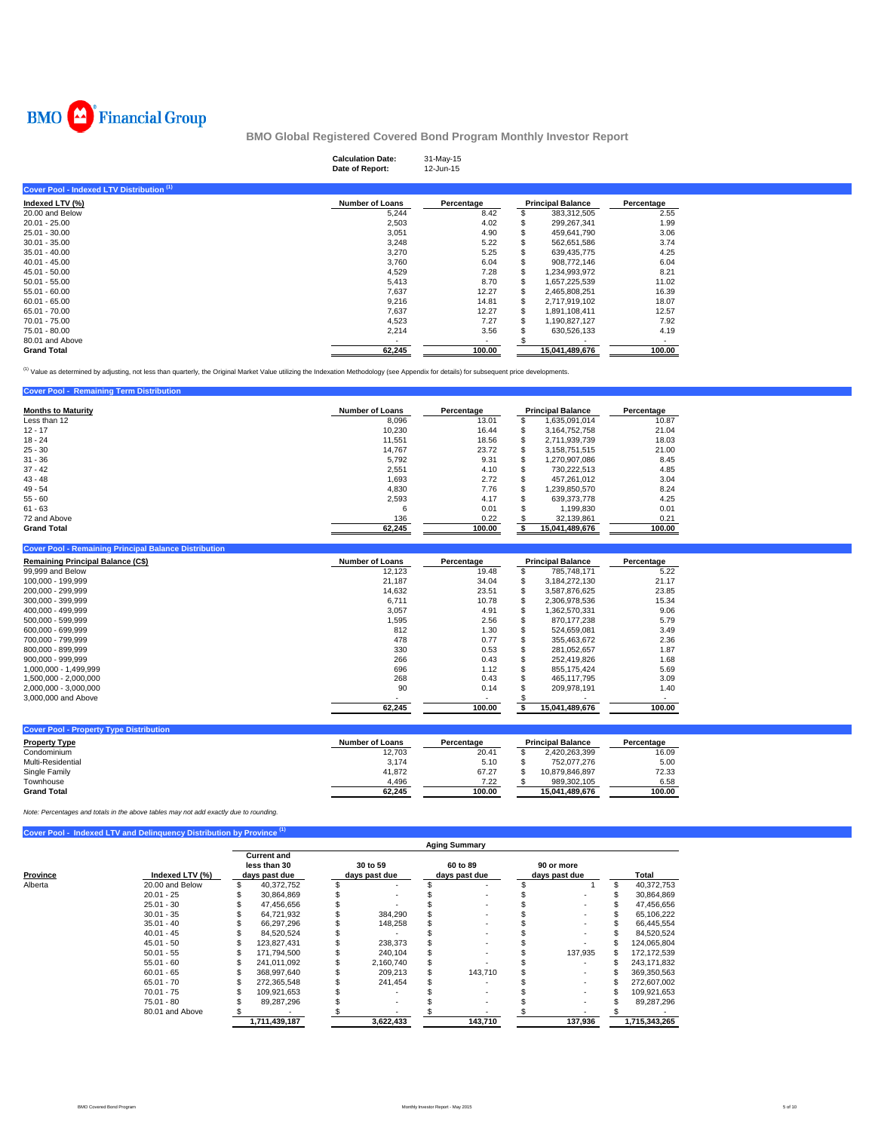

|                                           | <b>Calculation Date:</b><br>Date of Report: | 31-May-15<br>12-Jun-15   |                          |                          |  |
|-------------------------------------------|---------------------------------------------|--------------------------|--------------------------|--------------------------|--|
| Cover Pool - Indexed LTV Distribution (1) |                                             |                          |                          |                          |  |
| Indexed LTV (%)                           | <b>Number of Loans</b>                      | Percentage               | <b>Principal Balance</b> | Percentage               |  |
| 20.00 and Below                           | 5,244                                       | 8.42                     | 383,312,505              | 2.55                     |  |
| 20.01 - 25.00                             | 2,503                                       | 4.02                     | 299,267,341              | 1.99                     |  |
| 25.01 - 30.00                             | 3,051                                       | 4.90                     | 459,641,790              | 3.06                     |  |
| $30.01 - 35.00$                           | 3,248                                       | 5.22                     | 562,651,586              | 3.74                     |  |
| $35.01 - 40.00$                           | 3,270                                       | 5.25                     | 639,435,775              | 4.25                     |  |
| $40.01 - 45.00$                           | 3,760                                       | 6.04                     | 908,772,146              | 6.04                     |  |
| $45.01 - 50.00$                           | 4,529                                       | 7.28                     | 1,234,993,972            | 8.21                     |  |
| $50.01 - 55.00$                           | 5,413                                       | 8.70                     | 1,657,225,539            | 11.02                    |  |
| $55.01 - 60.00$                           | 7,637                                       | 12.27                    | 2,465,808,251            | 16.39                    |  |
| $60.01 - 65.00$                           | 9,216                                       | 14.81                    | 2,717,919,102            | 18.07                    |  |
| 65.01 - 70.00                             | 7,637                                       | 12.27                    | 1,891,108,411            | 12.57                    |  |
| 70.01 - 75.00                             | 4,523                                       | 7.27                     | 1,190,827,127            | 7.92                     |  |
| 75.01 - 80.00                             | 2,214                                       | 3.56                     | 630,526,133              | 4.19                     |  |
| 80.01 and Above                           | $\sim$                                      | $\overline{\phantom{a}}$ |                          | $\overline{\phantom{a}}$ |  |
| <b>Grand Total</b>                        | 62,245                                      | 100.00                   | 15,041,489,676           | 100.00                   |  |

<sup>(1)</sup> Value as determined by adjusting, not less than quarterly, the Original Market Value utilizing the Indexation Methodology (see Appendix for details) for subsequent price developments.

| <b>Cover Pool - Remaining Term Distribution</b> |                        |            |    |                          |            |
|-------------------------------------------------|------------------------|------------|----|--------------------------|------------|
| <b>Months to Maturity</b>                       | <b>Number of Loans</b> | Percentage |    | <b>Principal Balance</b> | Percentage |
| Less than 12                                    | 8.096                  | 13.01      |    | 1.635.091.014            | 10.87      |
| $12 - 17$                                       | 10,230                 | 16.44      | S  | 3.164.752.758            | 21.04      |
| $18 - 24$                                       | 11.551                 | 18.56      | S. | 2,711,939,739            | 18.03      |
| $25 - 30$                                       | 14.767                 | 23.72      | S  | 3.158.751.515            | 21.00      |
| $31 - 36$                                       | 5.792                  | 9.31       | S  | 1.270.907.086            | 8.45       |
| $37 - 42$                                       | 2,551                  | 4.10       |    | 730.222.513              | 4.85       |
| $43 - 48$                                       | 1,693                  | 2.72       |    | 457.261.012              | 3.04       |
| $49 - 54$                                       | 4.830                  | 7.76       |    | 1.239.850.570            | 8.24       |
| $55 - 60$                                       | 2,593                  | 4.17       |    | 639.373.778              | 4.25       |
| $61 - 63$                                       | 6                      | 0.01       |    | 1.199.830                | 0.01       |
| 72 and Above                                    | 136                    | 0.22       |    | 32.139.861               | 0.21       |
| <b>Grand Total</b>                              | 62.245                 | 100.00     |    | 15.041.489.676           | 100.00     |

| <b>Cover Pool - Remaining Principal Balance Distribution</b> |                        |            |   |                          |            |
|--------------------------------------------------------------|------------------------|------------|---|--------------------------|------------|
| <b>Remaining Principal Balance (C\$)</b>                     | <b>Number of Loans</b> | Percentage |   | <b>Principal Balance</b> | Percentage |
| 99.999 and Below                                             | 12,123                 | 19.48      |   | 785.748.171              | 5.22       |
| 100.000 - 199.999                                            | 21.187                 | 34.04      | S | 3,184,272,130            | 21.17      |
| 200.000 - 299.999                                            | 14.632                 | 23.51      |   | 3.587.876.625            | 23.85      |
| 300.000 - 399.999                                            | 6.711                  | 10.78      |   | 2.306.978.536            | 15.34      |
| 400.000 - 499.999                                            | 3,057                  | 4.91       |   | 1.362.570.331            | 9.06       |
| 500.000 - 599.999                                            | 1,595                  | 2.56       |   | 870.177.238              | 5.79       |
| 600.000 - 699.999                                            | 812                    | 1.30       |   | 524.659.081              | 3.49       |
| 700.000 - 799.999                                            | 478                    | 0.77       |   | 355.463.672              | 2.36       |
| 800.000 - 899.999                                            | 330                    | 0.53       |   | 281.052.657              | 1.87       |
| $900.000 - 999.999$                                          | 266                    | 0.43       |   | 252.419.826              | 1.68       |
| 1.000.000 - 1.499.999                                        | 696                    | 1.12       |   | 855.175.424              | 5.69       |
| 1.500.000 - 2.000.000                                        | 268                    | 0.43       |   | 465.117.795              | 3.09       |
| 2.000.000 - 3.000.000                                        | 90                     | 0.14       |   | 209.978.191              | 1.40       |
| 3,000,000 and Above                                          |                        |            |   |                          |            |
|                                                              | 62.245                 | 100.00     |   | 15,041,489,676           | 100.00     |

| <b>Cover Pool - Property Type Distribution</b> |                        |            |                          |            |
|------------------------------------------------|------------------------|------------|--------------------------|------------|
| <b>Property Type</b>                           | <b>Number of Loans</b> | Percentage | <b>Principal Balance</b> | Percentage |
| Condominium                                    | 12.703                 | 20.41      | 2.420.263.399            | 16.09      |
| Multi-Residential                              | 3.174                  | 5.10       | 752.077.276              | 5.00       |
| Single Family                                  | 41.872                 | 67.27      | 10.879.846.897           | 72.33      |
| Townhouse                                      | 4.496                  | 7.22       | 989.302.105              | 6.58       |
| <b>Grand Total</b>                             | 62.245                 | 100.00     | 15.041.489.676           | 100.00     |

*Note: Percentages and totals in the above tables may not add exactly due to rounding.*

|          |                 |                                                     |                           | <b>Aging Summary</b>      |                             |   |               |
|----------|-----------------|-----------------------------------------------------|---------------------------|---------------------------|-----------------------------|---|---------------|
| Province | Indexed LTV (%) | <b>Current and</b><br>less than 30<br>days past due | 30 to 59<br>days past due | 60 to 89<br>days past due | 90 or more<br>days past due |   | Total         |
| Alberta  | 20.00 and Below | 40,372,752                                          |                           |                           |                             | S | 40,372,753    |
|          | $20.01 - 25$    | 30.864.869                                          |                           |                           |                             |   | 30,864,869    |
|          | $25.01 - 30$    | 47,456,656                                          |                           |                           |                             |   | 47,456,656    |
|          | $30.01 - 35$    | 64,721,932                                          | 384.290                   |                           |                             |   | 65,106,222    |
|          | $35.01 - 40$    | 66,297,296                                          | 148,258                   |                           |                             |   | 66,445,554    |
|          | $40.01 - 45$    | 84,520,524                                          |                           |                           |                             |   | 84,520,524    |
|          | $45.01 - 50$    | 123.827.431                                         | 238.373                   |                           |                             |   | 124,065,804   |
|          | $50.01 - 55$    | 171.794.500                                         | 240.104                   |                           | 137,935                     |   | 172.172.539   |
|          | $55.01 - 60$    | 241,011,092                                         | 2,160,740                 |                           |                             |   | 243,171,832   |
|          | $60.01 - 65$    | 368.997.640                                         | 209.213                   | 143.710                   |                             |   | 369.350.563   |
|          | $65.01 - 70$    | 272.365.548                                         | 241.454                   |                           |                             |   | 272,607,002   |
|          | $70.01 - 75$    | 109.921.653                                         |                           |                           |                             |   | 109.921.653   |
|          | $75.01 - 80$    | 89,287,296                                          |                           |                           |                             |   | 89,287,296    |
|          | 80.01 and Above |                                                     |                           |                           |                             |   |               |
|          |                 | 1,711,439,187                                       | 3,622,433                 | 143,710                   | 137,936                     |   | 1,715,343,265 |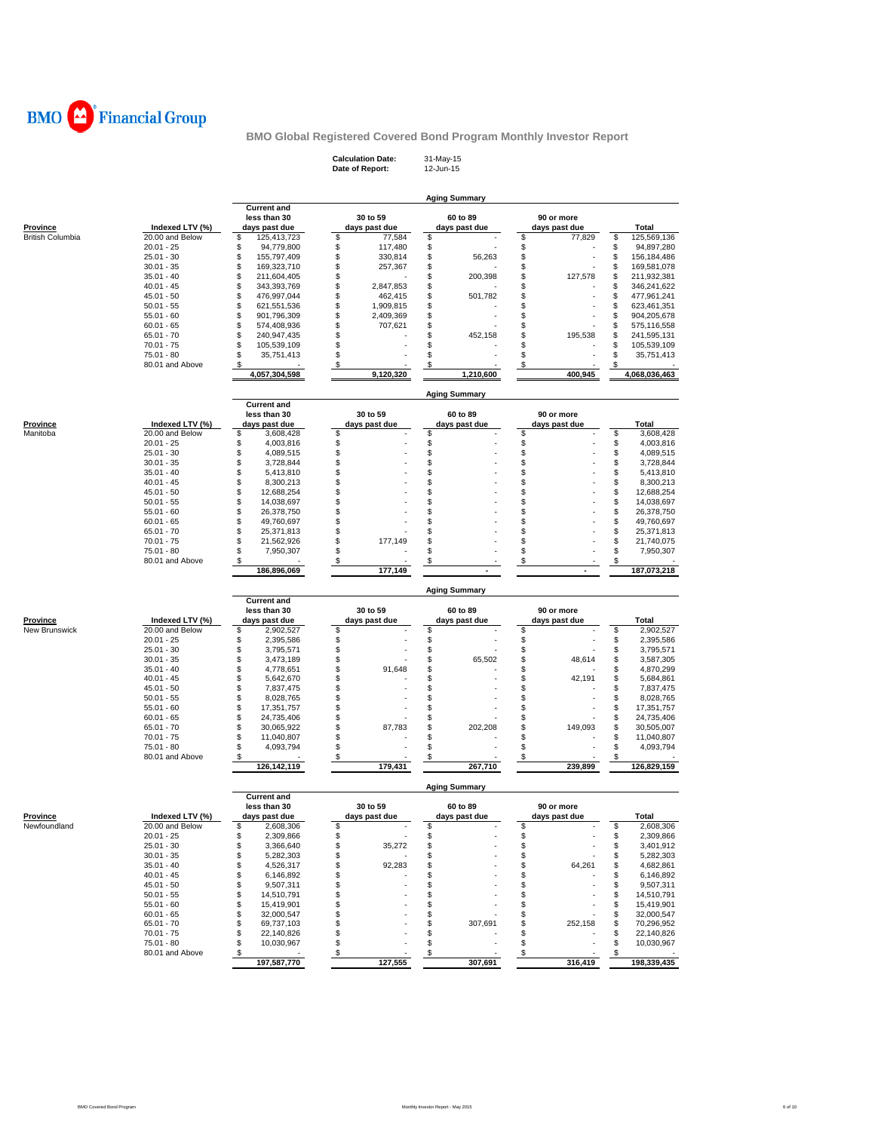

| <b>Calculation Date:</b> | 31-May-15 |
|--------------------------|-----------|
| Date of Report:          | 12-Jun-15 |

|                         |                                 |                                       |                               | <b>Aging Summary</b> |                    |                                       |
|-------------------------|---------------------------------|---------------------------------------|-------------------------------|----------------------|--------------------|---------------------------------------|
|                         |                                 | <b>Current and</b>                    |                               |                      |                    |                                       |
|                         |                                 | less than 30                          | 30 to 59                      | 60 to 89             | 90 or more         |                                       |
| Province                | Indexed LTV (%)                 | days past due                         | days past due                 | days past due        | days past due      | Total                                 |
| <b>British Columbia</b> | 20.00 and Below<br>$20.01 - 25$ | \$<br>125,413,723<br>\$<br>94,779,800 | \$<br>77,584<br>\$<br>117,480 | \$<br>\$             | \$<br>77,829<br>\$ | \$<br>125,569,136<br>\$<br>94,897,280 |
|                         | $25.01 - 30$                    | \$<br>155,797,409                     | \$<br>330,814                 | \$<br>56,263         | \$                 | \$<br>156,184,486                     |
|                         | $30.01 - 35$                    | \$<br>169,323,710                     | \$<br>257,367                 | \$                   | S                  | \$<br>169,581,078                     |
|                         | $35.01 - 40$                    | \$<br>211,604,405                     | \$                            | \$<br>200,398        | S<br>127,578       | \$<br>211,932,381                     |
|                         | $40.01 - 45$                    | \$<br>343,393,769                     | \$<br>2,847,853               | \$                   | \$                 | \$<br>346,241,622                     |
|                         | $45.01 - 50$                    | \$<br>476,997,044                     | \$<br>462,415                 | \$<br>501,782        | S                  | \$<br>477,961,241                     |
|                         | $50.01 - 55$                    | \$<br>621,551,536                     | \$<br>1,909,815               | \$                   | S                  | \$<br>623,461,351                     |
|                         | $55.01 - 60$                    | \$<br>901,796,309                     | \$<br>2,409,369               | \$                   | S                  | \$<br>904,205,678                     |
|                         | $60.01 - 65$                    | \$<br>574,408,936                     | \$<br>707,621                 | \$                   | S                  | \$<br>575,116,558                     |
|                         | $65.01 - 70$                    | \$<br>240,947,435                     | \$                            | S<br>452,158         | S<br>195,538       | \$<br>241,595,131                     |
|                         | $70.01 - 75$                    | \$<br>105,539,109                     | \$                            | \$                   | S                  | \$<br>105,539,109                     |
|                         | 75.01 - 80                      | \$<br>35,751,413                      | \$                            | \$                   | S                  | \$<br>35,751,413                      |
|                         | 80.01 and Above                 | \$                                    | \$                            | \$                   | \$                 | \$                                    |
|                         |                                 | 4,057,304,598                         | 9,120,320                     | 1,210,600            | 400,945            | 4,068,036,463                         |
|                         |                                 |                                       |                               | <b>Aging Summary</b> |                    |                                       |
|                         |                                 | <b>Current and</b>                    |                               |                      |                    |                                       |
|                         |                                 | less than 30                          | 30 to 59                      | 60 to 89             | 90 or more         |                                       |
| <b>Province</b>         | Indexed LTV (%)                 | days past due                         | days past due                 | days past due        | days past due      | Total                                 |
| Manitoba                | 20.00 and Below<br>$20.01 - 25$ | \$<br>3,608,428<br>\$                 | \$<br>\$                      | \$                   | \$<br>\$           | \$<br>3,608,428<br>\$                 |
|                         |                                 | 4,003,816                             |                               | \$                   |                    | 4,003,816                             |
|                         | $25.01 - 30$                    | \$<br>4,089,515                       | \$<br>\$                      | \$                   | \$                 | \$<br>4,089,515                       |
|                         | $30.01 - 35$<br>$35.01 - 40$    | \$<br>3,728,844<br>\$<br>5,413,810    | \$                            | \$<br>S              | \$<br>S            | \$<br>3,728,844<br>\$                 |
|                         | $40.01 - 45$                    | \$                                    | \$                            | S                    | S                  | 5,413,810<br>\$<br>8,300,213          |
|                         | $45.01 - 50$                    | 8,300,213<br>\$<br>12,688,254         | \$                            | \$                   | \$                 | \$<br>12,688,254                      |
|                         | $50.01 - 55$                    | \$<br>14,038,697                      | \$                            | S                    | S                  | \$<br>14,038,697                      |
|                         | $55.01 - 60$                    | \$<br>26,378,750                      | \$                            | \$                   | S                  | \$<br>26,378,750                      |
|                         | $60.01 - 65$                    | \$<br>49,760,697                      | \$                            | S                    | \$                 | \$<br>49,760,697                      |
|                         | $65.01 - 70$                    | \$<br>25,371,813                      | \$                            | S                    | S                  | \$<br>25,371,813                      |
|                         | $70.01 - 75$                    | \$<br>21,562,926                      | \$<br>177,149                 | \$                   | S                  | \$<br>21,740,075                      |
|                         | 75.01 - 80                      | \$<br>7,950,307                       | \$                            | S                    | \$                 | \$<br>7,950,307                       |
|                         | 80.01 and Above                 | \$                                    | \$                            | \$                   | S                  | \$                                    |
|                         |                                 | 186,896,069                           | 177,149                       |                      |                    | 187,073,218                           |
|                         |                                 |                                       |                               |                      |                    |                                       |
|                         |                                 |                                       |                               | <b>Aging Summary</b> |                    |                                       |
|                         |                                 | <b>Current and</b>                    |                               |                      |                    |                                       |
|                         |                                 | less than 30                          | 30 to 59                      | 60 to 89             | 90 or more         |                                       |
| Province                | Indexed LTV (%)                 | days past due                         | days past due                 | days past due        | days past due      | Total                                 |
| New Brunswick           | 20.00 and Below                 | \$<br>2,902,527                       | \$                            | \$                   | \$                 | \$<br>2,902,527                       |
|                         | $20.01 - 25$                    | \$<br>2,395,586                       | \$                            | \$                   | \$                 | \$<br>2,395,586                       |
|                         | $25.01 - 30$                    | \$<br>3,795,571                       | \$                            | \$                   | \$                 | \$<br>3,795,571                       |
|                         | $30.01 - 35$                    | \$<br>3,473,189                       | \$                            | \$<br>65,502         | \$<br>48,614       | \$<br>3,587,305                       |
|                         | $35.01 - 40$                    | \$<br>4,778,651                       | \$<br>91,648                  | S                    | \$                 | S<br>4,870,299                        |
|                         | $40.01 - 45$                    | \$<br>5,642,670                       | \$                            | \$                   | 42,191<br>\$       | \$<br>5,684,861                       |
|                         | $45.01 - 50$                    | \$<br>7,837,475                       | \$                            | S                    | S                  | S<br>7,837,475                        |
|                         | $50.01 - 55$                    | \$<br>8,028,765                       | \$                            | \$                   | \$                 | \$<br>8,028,765                       |
|                         | $55.01 - 60$                    | \$<br>17,351,757                      | \$                            | \$                   | S                  | \$<br>17,351,757                      |
|                         | $60.01 - 65$                    | \$<br>24,735,406                      | \$                            | \$                   | S                  | \$<br>24,735,406                      |
|                         | $65.01 - 70$                    | \$<br>30,065,922                      | \$<br>87,783                  | \$<br>202,208        | \$<br>149,093      | \$<br>30,505,007                      |
|                         | $70.01 - 75$                    | \$<br>11,040,807<br>\$                | \$<br>\$                      | S<br>\$              | S<br>\$            | S<br>11,040,807<br>\$                 |
|                         | 75.01 - 80<br>80.01 and Above   | 4,093,794<br>\$                       | \$                            | \$                   | \$                 | 4,093,794<br>S                        |
|                         |                                 | 126,142,119                           | 179,431                       | 267,710              | 239,899            | 126,829,159                           |
|                         |                                 |                                       |                               | <b>Aging Summary</b> |                    |                                       |
|                         |                                 | <b>Current and</b>                    |                               |                      |                    |                                       |
|                         |                                 | less than 30                          | 30 to 59                      | 60 to 89             | 90 or more         |                                       |
| <b>Province</b>         | Indexed LTV (%)                 | days past due                         | days past due<br>\$           | days past due        | days past due      | Total                                 |
| Newfoundland            | 20.00 and Below<br>$20.01 - 25$ | 2,608,306<br>\$<br>2,309,866          | \$                            | \$                   | \$                 | 2,608,306<br>\$<br>2,309,866          |
|                         | $25.01 - 30$                    | \$<br>3,366,640                       | \$<br>35,272                  | \$                   | \$                 | 3,401,912<br>\$                       |
|                         | $30.01 - 35$                    | \$<br>5,282,303                       | \$                            |                      | \$                 | 5,282,303<br>\$                       |
|                         | $35.01 - 40$                    | 4,526,317<br>\$                       | \$<br>92,283                  |                      | 64,261<br>\$       | 4,682,861<br>\$                       |
|                         | $40.01 - 45$                    | \$<br>6,146,892                       | \$                            | S                    | \$                 | 6,146,892<br>\$                       |
|                         | $45.01 - 50$                    | \$<br>9,507,311                       | \$                            | S                    | \$                 | 9,507,311<br>\$                       |
|                         | $50.01 - 55$                    | \$<br>14,510,791                      | \$                            | S                    | \$                 | 14,510,791<br>\$                      |
|                         | $55.01 - 60$                    | \$<br>15,419,901                      | \$                            | S                    | \$                 | 15,419,901<br>\$                      |
|                         | $60.01 - 65$                    | \$<br>32,000,547                      | \$                            | S                    | S                  | 32,000,547<br>\$                      |
|                         | $65.01 - 70$                    | \$<br>69,737,103                      | \$                            | S<br>307,691         | \$<br>252,158      | 70,296,952<br>\$                      |
|                         | $70.01 - 75$                    | 22,140,826<br>\$                      | \$                            | S                    | S                  | 22,140,826<br>\$                      |
|                         | $75.01 - 80$                    | \$<br>10,030,967                      | \$                            | \$                   | \$                 | 10,030,967<br>\$                      |
|                         | 80.01 and Above                 | \$<br>197,587,770                     | \$<br>127,555                 | S<br>307,691         | S<br>316,419       | 198,339,435                           |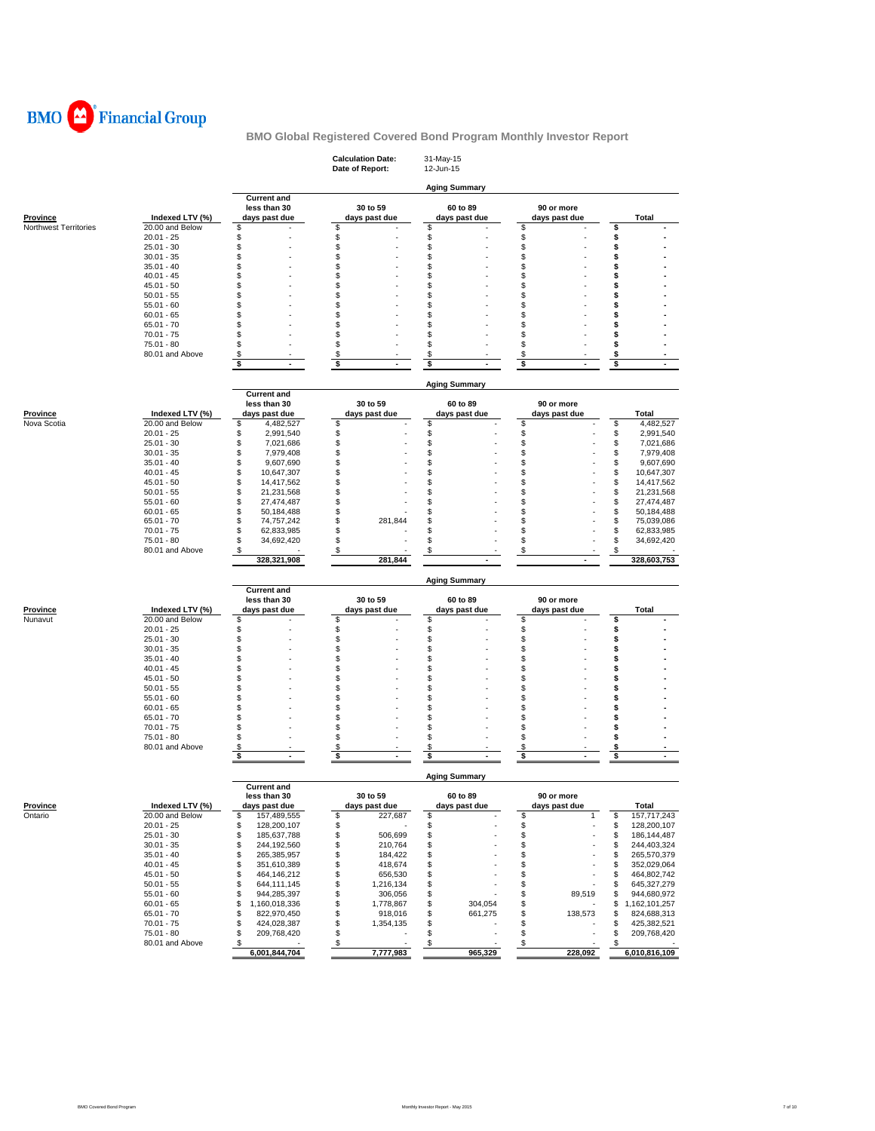

|                                |                                    |                                      | <b>Calculation Date:</b><br>Date of Report: | 31-May-15<br>12-Jun-15   |                      |                                      |
|--------------------------------|------------------------------------|--------------------------------------|---------------------------------------------|--------------------------|----------------------|--------------------------------------|
|                                |                                    | <b>Current and</b>                   |                                             | <b>Aging Summary</b>     |                      |                                      |
|                                |                                    | less than 30                         | 30 to 59                                    | 60 to 89                 | 90 or more           |                                      |
| <b>Province</b>                | Indexed LTV (%)                    | days past due                        | days past due                               | days past due            | days past due        | Total                                |
| Northwest Territories          | 20.00 and Below                    | \$                                   | \$                                          | \$                       | \$                   | \$                                   |
|                                | $20.01 - 25$<br>$25.01 - 30$       | \$                                   | \$                                          | \$                       | \$                   | \$                                   |
|                                | $30.01 - 35$                       | \$<br>\$                             | \$<br>\$                                    | \$<br>\$                 | \$<br>\$             | \$<br>\$                             |
|                                | $35.01 - 40$                       | \$                                   | \$                                          | \$                       | \$                   | s                                    |
|                                | $40.01 - 45$                       | \$                                   | \$                                          | \$                       | \$                   | s                                    |
|                                | $45.01 - 50$                       | \$                                   | \$                                          | \$                       | \$                   | \$                                   |
|                                | $50.01 - 55$                       | \$                                   | \$                                          | \$                       | \$                   | s                                    |
|                                | $55.01 - 60$                       | \$                                   | \$                                          | \$                       | \$                   | \$                                   |
|                                | $60.01 - 65$                       | \$                                   | \$                                          | S                        | \$                   | s                                    |
|                                | $65.01 - 70$<br>$70.01 - 75$       | \$<br>\$                             | \$<br>\$                                    | \$<br>\$                 | \$<br>\$             | \$<br>s                              |
|                                | 75.01 - 80                         | \$                                   | \$                                          | \$                       | \$                   | s                                    |
|                                | 80.01 and Above                    | \$                                   | \$                                          | \$                       | \$                   | \$                                   |
|                                |                                    | \$<br>$\blacksquare$                 | \$<br>$\blacksquare$                        | \$                       | \$<br>$\blacksquare$ | \$                                   |
|                                |                                    |                                      |                                             |                          |                      |                                      |
|                                |                                    |                                      |                                             | <b>Aging Summary</b>     |                      |                                      |
|                                |                                    | <b>Current and</b>                   |                                             |                          |                      |                                      |
|                                |                                    | less than 30                         | 30 to 59                                    | 60 to 89                 | 90 or more           |                                      |
| <b>Province</b><br>Nova Scotia | Indexed LTV (%)<br>20.00 and Below | days past due<br>\$<br>4,482,527     | days past due<br>\$                         | days past due<br>\$      | days past due<br>\$  | Total<br>\$<br>4,482,527             |
|                                | $20.01 - 25$                       | \$<br>2,991,540                      | \$                                          | \$                       | \$                   | \$<br>2,991,540                      |
|                                | $25.01 - 30$                       | \$<br>7,021,686                      | \$                                          | \$                       | \$                   | \$<br>7,021,686                      |
|                                | $30.01 - 35$                       | \$<br>7,979,408                      | \$                                          | \$                       | \$                   | \$<br>7,979,408                      |
|                                | $35.01 - 40$                       | \$<br>9,607,690                      | \$                                          | \$                       | \$                   | \$<br>9,607,690                      |
|                                | $40.01 - 45$                       | \$<br>10,647,307                     | \$                                          | \$                       | \$                   | \$<br>10,647,307                     |
|                                | $45.01 - 50$                       | \$<br>14,417,562                     | \$                                          | S                        | \$                   | \$<br>14,417,562                     |
|                                | $50.01 - 55$                       | \$<br>21,231,568                     | \$                                          | \$                       | \$                   | \$<br>21,231,568                     |
|                                | $55.01 - 60$                       | \$<br>27,474,487                     | \$                                          | \$                       | \$                   | \$<br>27,474,487                     |
|                                | $60.01 - 65$                       | \$<br>50,184,488                     | \$                                          | \$                       | \$                   | \$<br>50,184,488                     |
|                                | $65.01 - 70$<br>$70.01 - 75$       | \$<br>74,757,242<br>\$<br>62,833,985 | \$<br>281,844<br>\$                         | \$<br>\$                 | \$<br>\$             | \$<br>75,039,086                     |
|                                | 75.01 - 80                         | \$<br>34,692,420                     | \$                                          | \$                       | \$                   | \$<br>62,833,985<br>\$<br>34,692,420 |
|                                | 80.01 and Above                    | \$                                   | \$                                          | \$                       | \$                   | \$                                   |
|                                |                                    | 328,321,908                          | 281,844                                     |                          |                      | 328,603,753                          |
|                                |                                    |                                      |                                             |                          |                      |                                      |
|                                |                                    |                                      |                                             | <b>Aging Summary</b>     |                      |                                      |
|                                |                                    | <b>Current and</b><br>less than 30   | 30 to 59                                    | 60 to 89                 | 90 or more           |                                      |
| Province                       | Indexed LTV (%)                    | days past due                        | days past due                               | days past due            | days past due        | Total                                |
| Nunavut                        | 20.00 and Below                    | \$                                   | \$                                          | \$                       | \$                   | \$                                   |
|                                |                                    | \$                                   | \$                                          | \$                       | \$                   |                                      |
|                                | $20.01 - 25$                       |                                      |                                             |                          |                      | \$                                   |
|                                | $25.01 - 30$                       | \$                                   | \$                                          | \$                       | \$                   | \$                                   |
|                                | $30.01 - 35$                       | \$                                   | \$                                          | \$                       | \$                   | s                                    |
|                                | $35.01 - 40$                       | \$                                   | \$                                          | \$                       | \$                   | s                                    |
|                                | $40.01 - 45$                       | \$                                   | \$                                          | \$                       | \$                   | s                                    |
|                                | $45.01 - 50$                       | \$                                   | \$                                          | \$                       | \$                   | \$                                   |
|                                | $50.01 - 55$                       | \$                                   | \$                                          | S                        | \$                   | s                                    |
|                                | $55.01 - 60$                       | \$                                   | \$                                          | \$                       | \$                   | \$                                   |
|                                | $60.01 - 65$                       | \$                                   | \$                                          | \$                       | \$                   | \$                                   |
|                                | $65.01 - 70$<br>$70.01 - 75$       | \$<br>\$                             | \$<br>\$                                    | \$<br>\$                 | \$<br>\$             | s<br>\$                              |
|                                | 75.01 - 80                         | \$                                   | \$                                          | \$                       | \$                   | s                                    |
|                                | 80.01 and Above                    | \$                                   | \$                                          | \$                       | \$                   | \$                                   |
|                                |                                    | \$                                   | \$                                          | \$                       | \$                   | \$                                   |
|                                |                                    |                                      |                                             |                          |                      |                                      |
|                                |                                    | <b>Current and</b>                   |                                             | <b>Aging Summary</b>     |                      |                                      |
|                                |                                    | less than 30                         | 30 to 59                                    | 60 to 89                 | 90 or more           |                                      |
| Province                       | Indexed LTV (%)                    | days past due                        | days past due                               | days past due            | days past due        | Total                                |
| Ontario                        | 20.00 and Below                    | \$<br>157,489,555                    | \$<br>227,687                               | \$                       | \$<br>1              | \$<br>157,717,243                    |
|                                | $20.01 - 25$                       | \$<br>128,200,107                    | \$                                          | \$                       | \$                   | \$<br>128,200,107                    |
|                                | $25.01 - 30$                       | \$<br>185,637,788                    | \$<br>506,699                               | \$                       | \$                   | \$<br>186, 144, 487                  |
|                                | $30.01 - 35$                       | \$<br>244,192,560                    | \$<br>210,764                               | \$                       | \$                   | 244,403,324<br>\$                    |
|                                | $35.01 - 40$                       | \$<br>265,385,957                    | \$<br>184,422                               | \$                       | $\ddot{\$}$          | \$<br>265,570,379                    |
|                                | $40.01 - 45$                       | \$<br>351,610,389                    | \$<br>418,674                               | \$                       | \$                   | \$<br>352,029,064                    |
|                                | $45.01 - 50$                       | \$<br>464,146,212                    | \$<br>656,530                               | \$                       | \$                   | \$<br>464,802,742                    |
|                                | $50.01 - 55$<br>$55.01 - 60$       | \$<br>644,111,145<br>\$              | \$<br>1,216,134<br>\$                       | \$                       | \$                   | \$<br>645, 327, 279<br>\$            |
|                                | $60.01 - 65$                       | 944,285,397<br>\$<br>1,160,018,336   | 306,056<br>\$<br>1,778,867                  | \$<br>\$<br>304,054      | \$<br>89,519<br>\$   | 944,680,972<br>\$<br>1,162,101,257   |
|                                | $65.01 - 70$                       | \$<br>822,970,450                    | \$<br>918,016                               | \$<br>661,275            | \$<br>138,573        | 824,688,313<br>\$                    |
|                                | $70.01 - 75$                       | \$<br>424,028,387                    | \$<br>1,354,135                             | \$                       | \$                   | \$<br>425,382,521                    |
|                                | 75.01 - 80                         | \$<br>209,768,420                    | \$                                          | \$                       | \$                   | \$<br>209,768,420                    |
|                                | 80.01 and Above                    | $\sqrt{3}$<br>6,001,844,704          | $\sqrt[6]{3}$<br>7,777,983                  | $\frac{1}{2}$<br>965,329 | \$<br>228,092        | \$<br>6,010,816,109                  |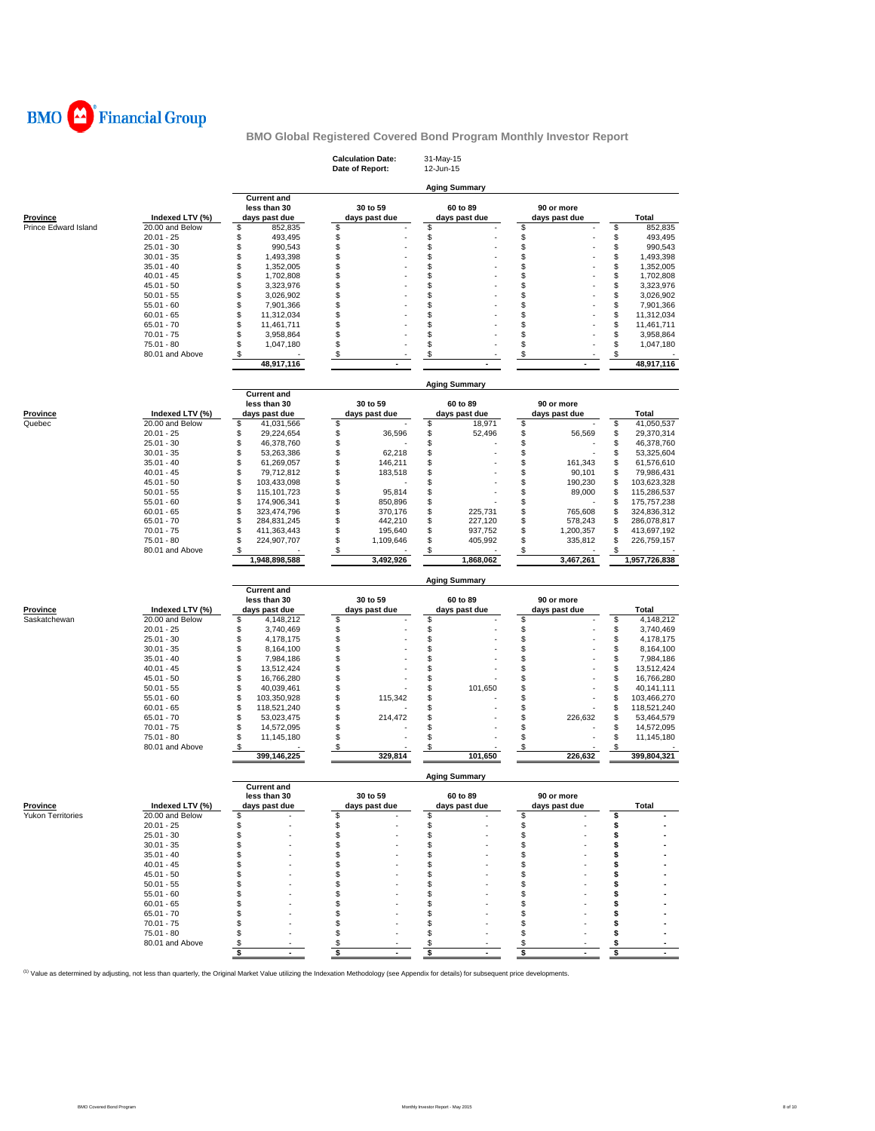

|                                             |                              |                                    | <b>Calculation Date:</b><br>Date of Report: | 31-May-15<br>12-Jun-15     |                 |                                  |
|---------------------------------------------|------------------------------|------------------------------------|---------------------------------------------|----------------------------|-----------------|----------------------------------|
|                                             |                              |                                    |                                             | <b>Aging Summary</b>       |                 |                                  |
|                                             |                              | <b>Current and</b><br>less than 30 | 30 to 59                                    | 60 to 89                   | 90 or more      |                                  |
| Province                                    | Indexed LTV (%)              | days past due                      | days past due                               | days past due              | days past due   | Total                            |
| Prince Edward Island                        | 20.00 and Below              | \$<br>852,835                      | \$                                          | \$                         | \$              | \$<br>852,835                    |
|                                             | $20.01 - 25$                 | \$<br>493,495                      | \$                                          | \$                         | \$              | \$<br>493,495                    |
|                                             | $25.01 - 30$                 | \$<br>990,543                      | \$                                          | \$                         | \$              | \$<br>990,543                    |
|                                             | $30.01 - 35$                 | \$<br>1,493,398                    | \$                                          | \$                         | \$              | \$<br>1,493,398                  |
|                                             | $35.01 - 40$                 | \$<br>1,352,005                    | \$                                          | \$                         | \$              | \$<br>1,352,005                  |
|                                             | $40.01 - 45$                 | \$<br>1,702,808                    | \$                                          | \$                         | \$              | \$<br>1,702,808                  |
|                                             | $45.01 - 50$                 | \$<br>3,323,976                    | \$                                          | \$                         | \$              | \$<br>3,323,976                  |
|                                             | $50.01 - 55$                 | \$<br>3,026,902                    | \$                                          | \$                         | \$              | \$<br>3,026,902                  |
|                                             | $55.01 - 60$                 | \$<br>7,901,366                    | \$                                          | \$                         | \$              | \$<br>7,901,366                  |
|                                             | $60.01 - 65$                 | \$<br>11,312,034                   | \$                                          | \$                         | \$              | \$<br>11,312,034                 |
|                                             | $65.01 - 70$                 | \$<br>11,461,711                   | \$                                          | \$                         | \$              | \$<br>11,461,711                 |
|                                             | $70.01 - 75$                 | \$<br>3,958,864                    | \$                                          | \$                         | \$              | \$<br>3,958,864                  |
|                                             | 75.01 - 80                   | \$<br>1,047,180                    | \$                                          | \$                         | \$              | \$<br>1,047,180                  |
|                                             | 80.01 and Above              | \$                                 | \$                                          | \$                         | \$              | \$                               |
|                                             |                              | 48,917,116                         |                                             |                            |                 | 48,917,116                       |
|                                             |                              |                                    |                                             |                            |                 |                                  |
|                                             |                              | <b>Current and</b>                 |                                             | <b>Aging Summary</b>       |                 |                                  |
|                                             |                              | less than 30                       | 30 to 59                                    | 60 to 89                   | 90 or more      |                                  |
| <b>Province</b>                             | Indexed LTV (%)              | days past due                      | days past due                               | days past due              | days past due   | <b>Total</b>                     |
| Quebec                                      | 20.00 and Below              | \$<br>41,031,566                   | \$                                          | 18,971<br>\$               | \$              | \$<br>41,050,537                 |
|                                             | $20.01 - 25$                 | \$<br>29,224,654                   | \$<br>36,596                                | \$<br>52,496               | \$<br>56,569    | \$<br>29,370,314                 |
|                                             | $25.01 - 30$                 | \$<br>46,378,760                   | \$                                          | \$                         | \$              | \$<br>46,378,760                 |
|                                             | $30.01 - 35$                 | \$<br>53,263,386                   | \$<br>62,218                                | \$                         | \$              | \$<br>53,325,604                 |
|                                             | $35.01 - 40$                 | \$<br>61,269,057                   | \$<br>146,211                               | \$                         | \$<br>161,343   | \$<br>61,576,610                 |
|                                             | $40.01 - 45$                 | \$<br>79,712,812                   | \$<br>183,518                               | \$                         | \$<br>90,101    | \$<br>79,986,431                 |
|                                             |                              | \$                                 |                                             | \$                         | \$<br>190,230   |                                  |
|                                             | $45.01 - 50$<br>$50.01 - 55$ | 103,433,098<br>\$                  | \$<br>\$<br>95.814                          | \$                         | \$              | \$<br>103,623,328<br>\$          |
|                                             |                              | 115,101,723<br>\$                  | \$                                          | \$                         | 89,000<br>\$    | 115,286,537<br>\$<br>175,757,238 |
|                                             | $55.01 - 60$<br>$60.01 - 65$ | 174,906,341<br>\$                  | 850,896<br>\$                               | \$<br>225,731              | \$              | \$                               |
|                                             |                              | 323,474,796                        | 370,176                                     |                            | 765,608         | 324,836,312                      |
|                                             | $65.01 - 70$                 | \$<br>284,831,245                  | \$<br>442,210                               | \$<br>227,120              | \$<br>578,243   | \$<br>286,078,817                |
|                                             | $70.01 - 75$                 | \$<br>411,363,443                  | \$<br>195,640                               | \$<br>937,752              | \$<br>1,200,357 | \$<br>413,697,192                |
|                                             | 75.01 - 80                   | \$<br>224,907,707                  | \$<br>1,109,646                             | \$<br>405,992              | \$<br>335,812   | \$<br>226,759,157                |
|                                             | 80.01 and Above              | \$<br>1,948,898,588                | \$<br>3,492,926                             | \$<br>1,868,062            | \$<br>3,467,261 | \$<br>1,957,726,838              |
|                                             |                              |                                    |                                             |                            |                 |                                  |
|                                             |                              | <b>Current and</b>                 |                                             | <b>Aging Summary</b>       |                 |                                  |
|                                             |                              | less than 30                       | 30 to 59                                    | 60 to 89                   | 90 or more      |                                  |
| Province                                    |                              |                                    |                                             |                            |                 | Total                            |
|                                             |                              |                                    |                                             |                            |                 |                                  |
|                                             | Indexed LTV (%)              | days past due                      | days past due                               | days past due              | days past due   |                                  |
|                                             | 20.00 and Below              | \$<br>4,148,212                    | \$                                          | \$                         | \$              | \$<br>4,148,212                  |
|                                             | $20.01 - 25$                 | \$<br>3,740,469                    | \$                                          | \$                         | \$              | \$<br>3,740,469                  |
|                                             | $25.01 - 30$                 | \$<br>4,178,175                    | \$                                          | \$                         | \$              | \$<br>4,178,175                  |
|                                             | $30.01 - 35$                 | \$<br>8,164,100                    | \$                                          | \$                         | \$              | \$<br>8,164,100                  |
|                                             | $35.01 - 40$                 | \$<br>7,984,186                    | \$                                          | \$                         | \$              | \$<br>7,984,186                  |
|                                             | $40.01 - 45$                 | \$<br>13,512,424                   | \$                                          | \$                         | \$              | \$<br>13,512,424                 |
|                                             | $45.01 - 50$                 | \$<br>16,766,280                   | \$                                          | \$                         | \$              | \$<br>16,766,280                 |
|                                             | $50.01 - 55$                 | \$<br>40,039,461                   | \$                                          | \$<br>101,650              | \$              | \$<br>40,141,111                 |
|                                             | $55.01 - 60$                 | \$<br>103,350,928                  | \$<br>115,342                               | \$                         | \$              | \$<br>103,466,270                |
|                                             | $60.01 - 65$                 | \$<br>118,521,240                  | \$                                          | \$                         | \$              | \$<br>118,521,240                |
| Saskatchewan                                | $65.01 - 70$                 | \$<br>53,023,475                   | \$<br>214,472                               | \$                         | \$<br>226,632   | \$<br>53,464,579                 |
|                                             | $70.01 - 75$                 | \$<br>14,572,095                   | \$                                          | \$                         | \$              | \$<br>14,572,095                 |
|                                             | $75.01 - 80$                 | \$<br>11,145,180                   | \$                                          | \$                         | \$              | \$<br>11,145,180                 |
|                                             | 80.01 and Above              | \$<br>399,146,225                  | \$<br>329,814                               | \$<br>101,650              | \$<br>226,632   | \$<br>399,804,321                |
|                                             |                              |                                    |                                             |                            |                 |                                  |
|                                             |                              | <b>Current and</b>                 |                                             | <b>Aging Summary</b>       |                 |                                  |
|                                             |                              | less than 30                       | 30 to 59                                    | 60 to 89                   | 90 or more      |                                  |
|                                             | Indexed LTV (%)              | days past due                      | days past due                               | days past due              | days past due   | Total                            |
|                                             | 20.00 and Below              | \$                                 | \$                                          | \$                         | \$              | \$                               |
|                                             | $20.01 - 25$                 | \$                                 | \$                                          | \$                         | \$              | \$                               |
|                                             | $25.01 - 30$                 | \$                                 | \$                                          | \$                         | \$              | \$                               |
|                                             | $30.01 - 35$                 | \$                                 | \$                                          | \$                         | \$              | \$                               |
|                                             | $35.01 - 40$                 | \$                                 | \$                                          | \$                         | \$              | s                                |
|                                             | $40.01 - 45$                 | \$                                 | \$                                          | \$                         | \$              | s                                |
|                                             |                              |                                    | \$                                          | \$                         | \$              | s                                |
|                                             | $45.01 - 50$                 | $\,$                               | S.                                          | S                          | \$              | s                                |
|                                             | $50.01 - 55$                 | \$                                 |                                             |                            |                 | s                                |
|                                             | $55.01 - 60$                 | \$                                 | \$                                          | \$                         | \$              | s                                |
|                                             | $60.01 - 65$                 | \$                                 | \$                                          | S                          | \$              |                                  |
| <b>Province</b><br><b>Yukon Territories</b> | $65.01 - 70$                 | \$                                 | \$                                          | S                          | \$              | s                                |
|                                             | $70.01 - 75$                 | \$                                 | \$                                          | S                          | \$              | \$                               |
|                                             | 75.01 - 80                   | \$                                 | \$                                          | \$                         | \$              | S                                |
|                                             | 80.01 and Above              | \$<br>\$<br>$\blacksquare$         | \$<br>\$<br>ä,                              | \$<br>\$<br>$\blacksquare$ | \$<br>\$        | \$<br>\$<br>$\mathbf{r}$         |

<sup>(1)</sup> Value as determined by adjusting, not less than quarterly, the Original Market Value utilizing the Indexation Methodology (see Appendix for details) for subsequent price developments.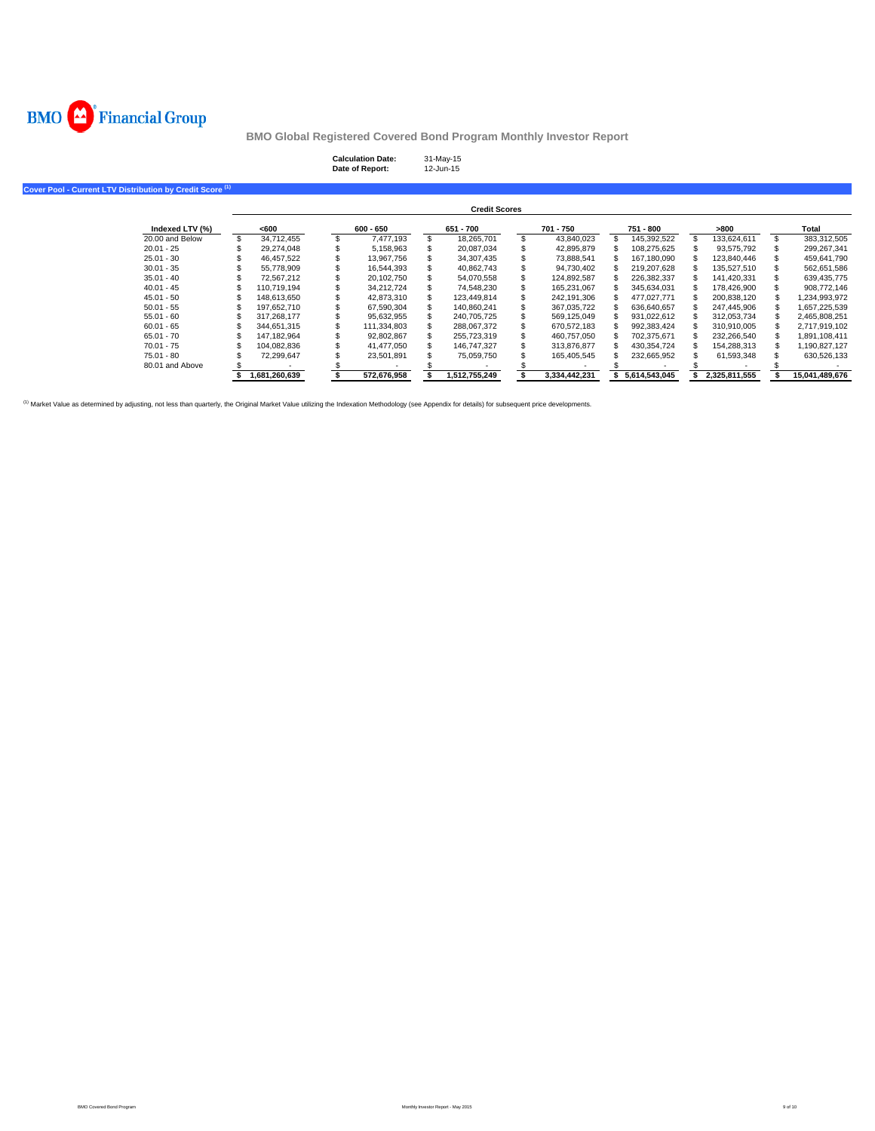

| <b>Calculation Date:</b> | 31-May-15 |
|--------------------------|-----------|
| Date of Report:          | 12-Jun-15 |

**Cover Pool - Current LTV Distribution by Credit Score (1)**

|                 |               |             | <b>Credit Scores</b> |               |               |               |                |
|-----------------|---------------|-------------|----------------------|---------------|---------------|---------------|----------------|
| Indexed LTV (%) | <600          | $600 - 650$ | 651 - 700            | 701 - 750     | 751 - 800     | >800          | Total          |
| 20.00 and Below | 34.712.455    | 7.477.193   | 18.265.701           | 43.840.023    | 145.392.522   | 133.624.611   | 383.312.505    |
| $20.01 - 25$    | 29.274.048    | 5.158.963   | 20.087.034           | 42.895.879    | 108.275.625   | 93.575.792    | 299.267.341    |
| $25.01 - 30$    | 46.457.522    | 13.967.756  | 34.307.435           | 73.888.541    | 167.180.090   | 123.840.446   | 459.641.790    |
| $30.01 - 35$    | 55.778.909    | 16.544.393  | 40.862.743           | 94.730.402    | 219.207.628   | 135.527.510   | 562,651,586    |
| $35.01 - 40$    | 72.567.212    | 20.102.750  | 54.070.558           | 124.892.587   | 226.382.337   | 141.420.331   | 639.435.775    |
| $40.01 - 45$    | 110.719.194   | 34.212.724  | 74.548.230           | 165,231,067   | 345.634.031   | 178.426.900   | 908.772.146    |
| $45.01 - 50$    | 148.613.650   | 42.873.310  | 123.449.814          | 242.191.306   | 477.027.771   | 200.838.120   | 1,234,993,972  |
| $50.01 - 55$    | 197.652.710   | 67.590.304  | 140.860.241          | 367.035.722   | 636.640.657   | 247.445.906   | 1.657.225.539  |
| $55.01 - 60$    | 317,268,177   | 95.632.955  | 240.705.725          | 569.125.049   | 931.022.612   | 312.053.734   | 2,465,808,251  |
| $60.01 - 65$    | 344.651.315   | 111.334.803 | 288.067.372          | 670.572.183   | 992.383.424   | 310,910,005   | 2.717.919.102  |
| $65.01 - 70$    | 147.182.964   | 92.802.867  | 255.723.319          | 460,757,050   | 702.375.671   | 232.266.540   | 1,891,108,411  |
| $70.01 - 75$    | 104.082.836   | 41.477.050  | 146.747.327          | 313.876.877   | 430.354.724   | 154.288.313   | 1.190.827.127  |
| $75.01 - 80$    | 72.299.647    | 23.501.891  | 75.059.750           | 165.405.545   | 232,665,952   | 61,593,348    | 630,526,133    |
| 80.01 and Above |               |             |                      |               |               |               |                |
|                 | 1.681.260.639 | 572,676,958 | 1.512.755.249        | 3.334.442.231 | 5.614.543.045 | 2.325.811.555 | 15.041.489.676 |

<sup>(1)</sup> Market Value as determined by adjusting, not less than quarterly, the Original Market Value utilizing the Indexation Methodology (see Appendix for details) for subsequent price developments.